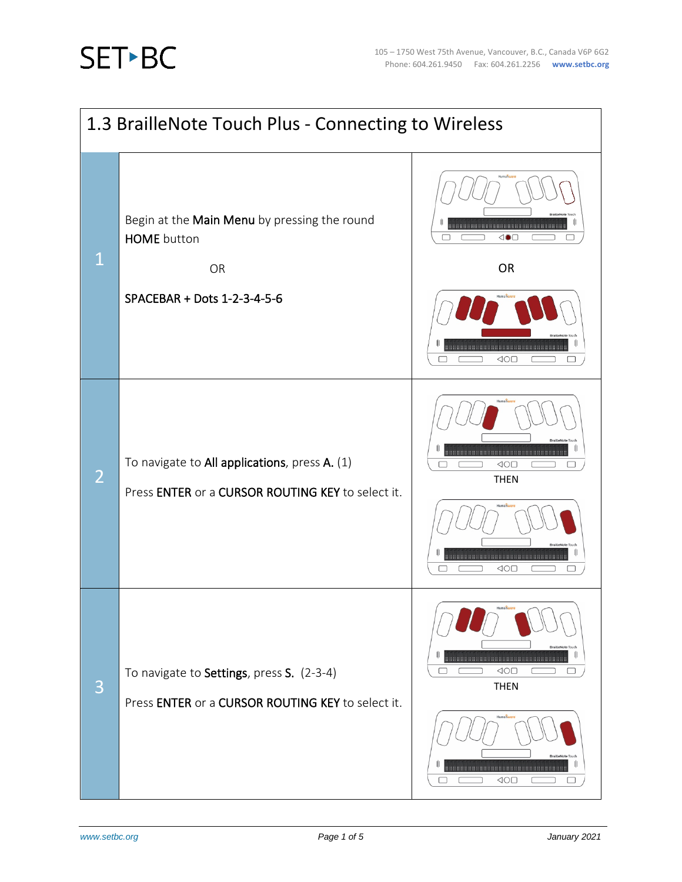

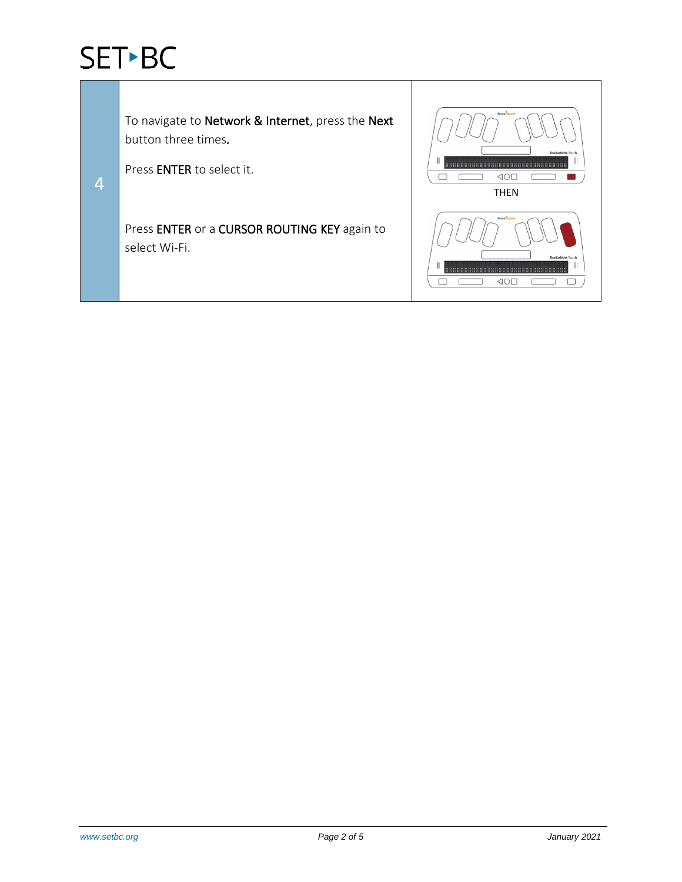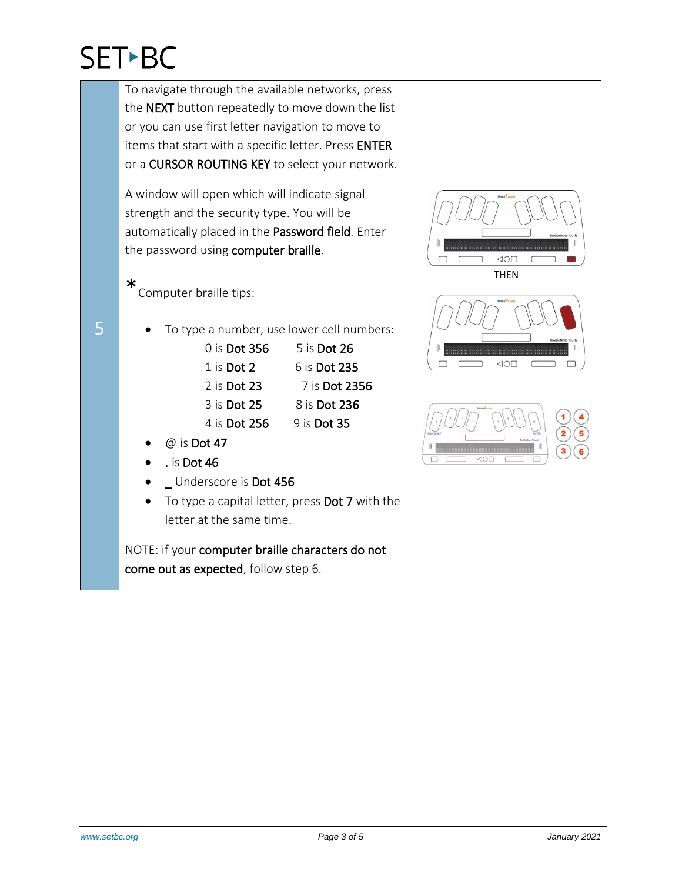5

To navigate through the available networks, press the NEXT button repeatedly to move down the list or you can use first letter navigation to move to items that start with a specific letter. Press ENTER or a CURSOR ROUTING KEY to select your network. A window will open which will indicate signal strength and the security type. You will be automatically placed in the Password field. Enter the password using computer braille.  $\triangleleft \circlearrowright$ □ THEN\*Computer braille tips: • To type a number, use lower cell numbers: 0 is Dot 356 5 is Dot 26  $\triangle$ 1 is Dot 2 6 is Dot 235 2 is **Dot 23** 7 is **Dot 2356** 3 is Dot 25 8 is Dot 236 4 is Dot 256 9 is Dot 35  $@$  is Dot 47 • . is Dot 46 • \_ Underscore is Dot 456

To type a capital letter, press Dot 7 with the letter at the same time.

NOTE: if your computer braille characters do not come out as expected, follow step 6.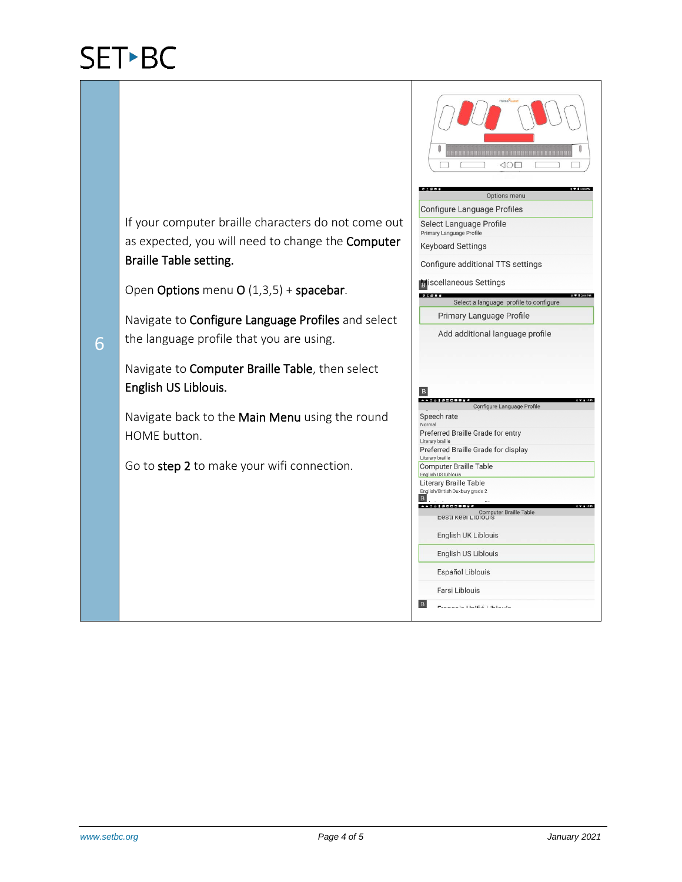